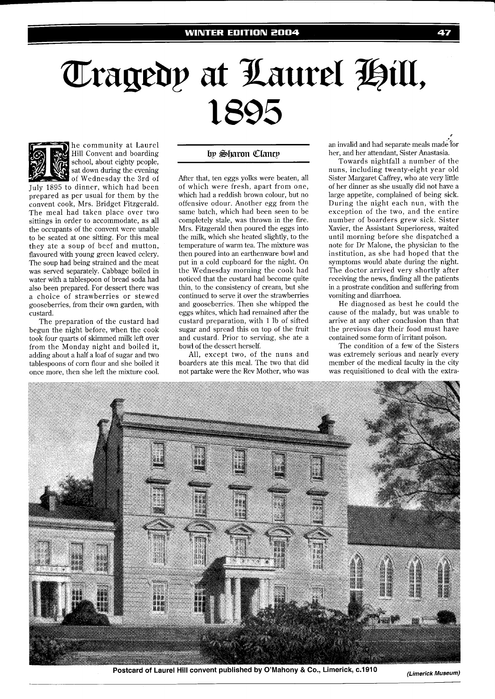## Tragedy at Laurel Hill, 1895



he community at Laurel Hill Convent and boarding school, about eighty people, sat down during the evening of Wednesday the 3rd of

July 1895 to dinner, which had been prepared as per usual for them by the convent cook, Mrs. Bridget Fitzgerald. The meal had taken place over two sittings in order to accommodate, as all the occupants of the convent were unable to be seated at one sitting. For this meal they ate a soup of beef and mutton, flavoured with young green leaved celery. The soup had being strained and the meat was served separately. Cabbage boiled in water with a tablespoon of bread soda had also been prepared. For dessert there was a choice of strawberries or stewed gooseberries, from their own garden, with custard.

The preparation of the custard had begun the night before, when the cook took four quarts of skimmed milk left over from the Monday night and boiled it, adding about a half a loaf of sugar and two tablespoons of corn flour and she boiled it once more, then she left the mixture cool.

## by Sharon Clancy

After that, ten eggs yolks were beaten, all of which were fresh, apart from one, which had a reddish brown colour, but no offensive odour. Another egg from the same batch, which had been seen to be completely stale, was thrown in the fire. Mrs. Fitzgerald then poured the eggs into the milk, which she heated slightly, to the temperature of warm tea. The mixture was then poured into an earthenware bowl and put in a cold cupboard for the night. On the Wednesday morning the cook had noticed that the custard had become quite thin, to the consistency of cream, but she continued to serve it over the strawberries and gooseberries. Then she whipped the eggs whites, which had remained after the custard preparation, with 1 lb of sifted sugar and spread this on top of the fruit and custard. Prior to serving, she ate a bowl of the dessert herself.

All, except two, of the nuns and boarders ate this meal. The two that did not partake were the Rev Mother, who was

an invalid and had separate meals made 'for her, and her attendant, Sister Anastasia.

47

Towards nightfall a number of the nuns, including twenty-eight year old Sister Margaret Caffrey, who ate very little of her dinner as she usually did not have a large appetite, complained of being sick. During the night each nun, with the exception of the two, and the entire number of boarders grew sick. Sister Xavier, the Assistant Superioress, waited until morning before she dispatched a note for Dr Malone, the physician to the institution, as she had hoped that the symptoms would abate during the night. The doctor arrived very shortly after receiving the news, finding all the patients in a prostrate condition and suffering from vomiting and diarrhoea.

He diagnosed as best he could the cause of the malady, but was unable to arrive at any other conclusion than that the previous day their food must have contained some form of irritant poison.

The condition of a few of the Sisters was extremely serious and nearly every member of the medical faculty in the city was requisitioned to deal with the extra-



Postcard of Laurel Hill convent published by O'Mahony & Co., Limerick, c.1910